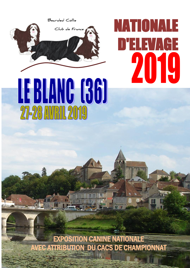

# NATIONALE EVAGE 2019



EXPOSITION CANINE NATIONALE AVEC ATTRIBUTION DU CACS DE CHAMPIONNAT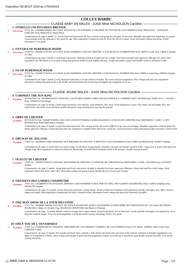## **COLLEY BARBU**

## CLASSE BABY 4/6 MALES - JUGE Mme NICHOLSON Caroline

## **1 OTHELLO LOS PITCHOUS BRENSOL**

27522 Tat : 250268501566852 08/11/2018 (H'JACK DE L'OUVERNHAT X GRAINNE DE COTTON DE L'OUVERNHAT) Prod. PROUTEAU / LANGLOIS-**3 Très Prom** LEBLANC Prop. PROUTEAU Marie-Pierre

> *Commentaires du Juge:5 month 1/2. Lovely head and expression. He has a canine tooth going into the gum. Lovely neck. Shoulder and upperarm angulation very good.*  Good straight front leg. Ribcage is very good for age. Rear angulation is balanced with the front, the tail set is good. Loose movement coming and going. Profile *movement is very good.*

## **2 OTTAWA OF PUREMAGICWOOD**

27509 Tat : 250268712781505 14/11/2018 ((CH) CHARMING JAZZ DE CHESTER X (CH) SEAGULL PUMPKIN PIE) Prod. ORFILA Cathy Prop. ORFILA Damien **2 Très Prom** et Cathy

*Commentaires du Juge:5 month. Lovely head expression. Underjaw needs to broaden but he's a baby. Well layed shoulder and upperarm. Ribcage very good. Well angulated rear. Movement is very good coming and going he tended to pull slightly sideways. Profile movement is good and handler needs to slowdown a little.*

## **3 OZ OF PUREMAGICWOOD**

27510 Tat : 250268712781512 14/11/2018 ((CH) CHARMING JAZZ DE CHESTER X (CH) SEAGULL PUMPKIN PIE) Prod. ORFILA Cathy Prop. ORFILA Damien **1 Très Prom** et Cathy

*Commentaires du Juge:5 month. Lovely head and expression. Low jaw needs to broaden. Nice neck and front angulation. Nice ribcage and very nice angulation. Movement coming and going ok for a bb. Profile movement better but not moving too happily but enough for me to see.*

## - CLASSE JEUNE MALES - JUGE Mme NICHOLSON Caroline -

## **4 CORIMIST THE SUN KING**

AV01637501 Tat : 981000010163371 05/04/2018 (ALISTAIR'S KAISER CHIEF FOR KILTONDALE X CORIMIST SOUL SISTER) Prod. WHELAN N. / YOUNG J. Prop. STRZELCZYK Margot **2 Excellent**

*Commentaires du Juge:13 month. Lovely head expression, nice muscles, good dentition. Nice neck. Front angulation is good. Nice shape rib and length. Nice rear hand.lovely movement front and back, profile movement, long reaching and covering the ground.*

## **5 OBBY DE CHESTER**

027255/03553 Tat : 250268731929915 20/01/2018 ((CH) POTTERDALE DARK DIAMOND X (CH) ISIS DE CHESTER) Prod. BERNARDI / CLERC / COPY / MAZIER Prop. BASTARD Marie-Christine  **Excellent**

*Commentaires du Juge:15 month. Lovely head and expression. Nice strong muzzle. Nice neck. Difficult to go over as not happy. Shoulder angulation could be better but better upperarm. Ribcage is deep and long and rear angulation is slightly better than front. Good.atic; Good movement coming and going profile movement a little erratic*

## **6 OBI WAN DU JOLI FOU**

27405 Tat : 250268501555609 30/04/2018 (ICE BREAKER DU JOLI FOU X H'KUP DU CALITCHUMBELET) Prod. HIM Jean-Michel Prop. DURET Sandrine  **Excellent**

*Commentaires du Juge:12 month still very much a baby. Lovely head, strong muzzle, unsettled. Lay back of shoulder could be better. Upper arm is good, chest deep and ribcage long. Hind angulation is balanced with front. Brown dog. Unsettled hind movement needs to be stronger; Profile movement good.*

## **7 OCELOT DE CHESTER**

27303 Tat : 250268732196753 23/03/2018 (MATADOR DE CHESTER X GIVENCHY DE CHESTER) Prod. BERNARDI / CLERC / MAZIER Prop. COUSSON Arnaud  **Excellent**

*Commentaires du Juge:13 month. Stong head and lovely expression. Straight in shoulder but better upperarm. Ribcage is deep and could be a little longer. Hind angulation better than front. Dark slate. Movement coming and going is good. Would like more front reach in front.*

## **8 ODYSSEUS DES GARDES CHAMPETRE**

27341 Tat : 250268600167785 07/03/2018 (MINER'S LAKE WINDSOR X IDOL PRETTY DOLL DES GARDES CHAMPETRE) Prod. CAMUS Delphine Prop. FRANCOIS Annette  **Excellent**

*Commentaires du Juge:13,5 month. Lovely head and expression, strong muzzle. Nicely arched neck leading to well angulated shoulder and upper arm. Rib is of good shape and length. Hind angulation complements his front. Unsettled inside. Movement sound coming and going still unsettled in proffile.*

## **9 ONE MAN SHOW DE LA TOUR MELUSINE**

27272 Tat : 250269811509596 14/01/2018 (IN VOGUE ISLAND MY SWEET CRAFTSMAN X HORS SERIE DES EMERAUDES DU LAC) Prod. BLUSSEAU-BOURCIER J.-Marie et Christine Prop. BLUSSEAU-BOURCIER Jean-Marie et Christine **4 Excellent**

*Commentaires du Juge: 15 month. Muzzle could be stronger but is aged related, lovely broad head, nice arched neck. Lovely shoulder and upper arm angulation, rib is deep but could be longer. Very nice hind angulation. Lovely movement coming and going. Profile very good.*

## **10 ONLY YOU DE L'OUVERNHAT**

27416 Tat : 250268501482723 20/04/2018 (DREAMER DE L'OUVERNHAT X MINELE DE L'OUVERNHAT) Prod. JAY Daniel / MOREY Marie-Claire Prop. LEMOINE Valérie **3 Excellent**

> *Commentaires du Juge:12 month. Nice muzzle and head. Eyes could be a little darker but lined with coat color at the moment. Layback of shoulder angulation is ok, upper arm angulation is better, chest is deep and ribcage is good and hind angulation is good. Love this boy's movement, good length of stand in profile. Very sound coming and going*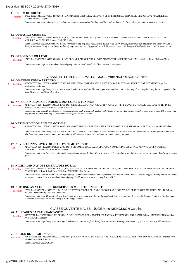## **11 OPIUM DE CHESTER**

27302 Tat : 250268732196855 23/03/2018 (MATADOR DE CHESTER X GIVENCHY DE CHESTER) Prod. BERNARDI / CLERC / COPY / MAZIER Prop. TOSTIVIN René-Jacques  **Très Bon**

*Commentaires du Juge:unhappy so impossible to assess his construction. Coming good he is still not happy. Profile much better shows promise once settled.*

#### **12 OURASI DE CHESTER**

27422 Tat : 250268732266334 05/06/2018 ((CH) GATSBY DE CHESTER X (CH) VICTORY WIND'S GLENMORANGIE) Prod. BERNARDI J.-P. / CLERC / MAZIER Prop. CLARISSE Aurore / GARCIA Audrey  **Excellent**

*Commentaires du Juge:blue male 10,5 month. Very nice young dog, good head, strong muzzle. Nice length of neck, lovely shoulder angulation and upper arm. Rib is deep for age could be a fraction longer and nicely angulated rear end.Happy with his tail. Movement is sound all through. Would prefer just a slightly longer stride.*

#### **13 OXFORD DU JOLI FOU**

27403 Tat : 250268501555502 30/04/2018 (ICE BREAKER DU JOLI FOU X H'KUP DU CALITCHUMBELET) Prod. HIM Jean-Michel Prop. HIM Jean-Michel **1 Excellent**

*Commentaires du Juge:very sound coming and going. Move stettled outside. Profile movement is very good.*

## CLASSE INTERMEDIAIRE MALES - JUGE Mme NICHOLSON Caroline

#### **14 GIACOMO VOM WARTBERG**

027430/03537 Tat : 276098106534139 03/08/2017 (PHILEMON FOREVER AND A DAY X CARA MIA VOM WARTBERG) Prod. RITTMANN Sonja Prop. MERLEAU Frédérique **Excellent** 

*Commentaires du Juge:lovely head, muzzle strong. Lovely lay back of shoulder end upper arm angulation. Good depth of rib and long hind angulation complements his front. Moves very well from all angles.*

#### **15 NAPOLEON BLACK DU PARADIS DES COEURS TENDRES**

027154/03541 Tat : 250269606948870 13/10/2017 (SEAGULL LET'S TALK ABOUT IT X JUSTE UN REVE BLACK DU PARADIS DES COEURS TENDRES) Prod. PAGNIER Christine Prop. PAGNIER Christine **3 Excellent**

*Commentaires du Juge:18 months. Lovely head, expression dark eyes, nicely arched neck. Would prefermore lay back of shoulder, upper arm is good. Rib is good hind angulations matches front angles. Profile movement good and move settled*

## **16 NATHAN DU DOMAINE DE GOTHAM**

027214/03547 Tat : 250268732053608 11/08/2017 (POTTERDALE PLATINUM PLUS X JOLIE MOME DE CHESTER) Prod. MARIE Alice Prop. MARIE Alice  **Bon**

*Commentaires du Juge:lovely head and expression narrow under jaw. Good length of neck. Shoulder and upper arm ok. Rib deep and long. Hind angulation balanced with front movement is good coming and going but profile movement shows him going on two tracks as over stepping*

## **17 NEVER GONNA GIVE YOU UP OF PASTIME PARADISE**

027084/03536 Tat : 250269802711905 27/06/2017 ((CH) POTTERDALE DARK DIAMOND X SOMETHING ELSE I WILL ALWAYS LOVE YOU) Prod. MAILLARD Lorraine Prop. BRANCHE Armelle  **Bon**

*Commentaires du Juge:lovely head with gentle expression narrow under jaw. Nicely arched neck. Front and rear angulation good rib neds to depen . Profile movement is good*

## **18 NIGHT AND DAY DES EMERAUDES DU LAC**

27197 Tat : 250269811415703 08/10/2017 ((CH) HAUT REVE DES EMERAUDES DU LAC X (CH) HUITIEME MERVEILLE DES EMERAUDES DU LAC) Prod. PONTHUS Danielle et Roland Prop. GUILLAUBEZ-DEHOUCK Sylvie **2 Excellent**

*Commentaires du Juge:18 moths. Very nice young dog. Good head and expression nicely arched neck leading to very nice shoulder and upper arm angulation. Rib needs to deepen and more body vey sound coming and going. Profile movement shows a length of stride?*

## **19 NOTHING AS A LOOK DES BERGERS DES MILLE ET UNE NUIT**

27322 Tat : 250268501420573 22/11/2017 ((CH) FIRSTPRIZEBEARS ORLANDO BLOOM X (CH) GODIVA DES BERGERS DES MILLE ET UNE NUIT) Prod. RAQUET Déborah Prop. RAQUET Déborah **1 Excellent**

*Commentaires du Juge:17 months. Really lovely masculine head soft expression, well arched neck. Lovely angulation all round. Rib is deep. Could be a fraction longer. Movement is very good all round in profile a little happy with tail*

## CLASSE OUVERTE MALES - JUGE Mme NICHOLSON Caroline

#### **20 ALISTAIR'S CAPTAIN FANTASTIC**

40365/2017 Tat : 752098100821893 24/05/2017 ((CH) SVASSAS BORN TO IMPRESS X (CH) ALISTAIR'S XELLENT XAMPLE) Prod. ANDERSSON Nina Johan Prop. RAQUET Déborah  **Excellent**

*Commentaires du Juge:lovely masculine boy. Lovely construction through out lovely head expression. Rib deep. Movement very sound and lovely profile movement*

## **21 BE AND BE BRIGHT SOUL**

ROI 17/67589 Tat : 380260002899221 27/02/2017 (VICTORY WIND'S INVICTUS X FIRSTPRIZEBEARS KIMCARNES) Prod. SUNYE ALVAREZ Fernando Prop. BURDET-MAZIERE Sylvie **ABSENT**

*Commentaires du Juge:ABSENT*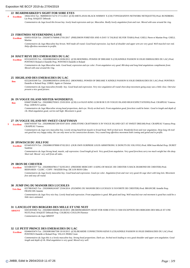#### **22 BEARDMARKED'S SIGHT FOR SORE EYES**

10642/2014 Tat : 968000010172274 17/11/2013 ((CH) SHETLANAS BLACK WHIMSY X (CH) TYPOGRAFEN'S NETWORK NETIQUETTE) Prod. RUNDBERG Liz Prop. RAQUET Déborah **4 Excellent**

*Commentaires du Juge:loved this brown boy. lovely head expression and eye. Masculine. Really lovely angulaiton front and rear. Moved with ease around the ring.*

#### **23 FIRSTMISS NEVERENDING LOVE**

026931/03528 Tat : 250268731760848 27/01/2017 (PHILEMON FOREVER AND A DAY X TALRAZ SILVER TIARA) Prod. GSELL Pierre et Martine Prop. GSELL Martine  **Excellent**

*Commentaires du Juge:Masculine boy brown. Well made all round. Good head expression. Lay back of shoulder and upper arm are very good. Well muscled rear end. Help effortless movement in profile.*

#### **24 HAUT REVE DES EMERAUDES DU LAC**

025224/03355 Tat : 250269802046534 20/06/2012 ((CH) MOONHILL POWER OF DREAMZ X (CH) KINDLE PASSION SI JOLIE EMERAUDES DU LAC) Prod. PONTHUS Roland et Danielle Prop. PONTHUS Danielle et Roland  **Excellent**

*Commentaires du Juge:Masculine male. Good head, expression and eye color. Front angulation very good. Rib deep and long hind angulations compliments front. Moved with ease around the ring.*

## **25 HIGHLAND DES EMERAUDES DU LAC**

025226/03349 Tat : 250269802045014 20/06/2012 (MOONHILL POWER OF DREAMZ X KINDLE PASSION SI JOLIE EMERAUDES DU LAC) Prod. PONTHUS Danielle et Roland Prop. UHRIG Agnès et Christian  **Bon**

*Commentaires du Juge:masculine friendly boy. Good head and expression. Very nice angulation all round chest deep movement going away was a little close. Oterwise present a nice good picture.*

## **26 IN VOGUE ISLAND MISTER-WONDERFUL**

026607/03488 Tat : 250269802703631 25/03/2016 ((CH) LA-FAJA'S KING LUM BI BI X IN VOGUE ISLAND HIGH EXPECTATIONS) Prod. CRAIPEAU Vanessa Prop. LEROUX Laetitia

*Commentaires du Juge:Masculine strong head proportions, dark eye. Nicely arched neck. Front angulation good, forechest could be better. Good in length and depth of rib. Hind angulation good, carries tail high. Movement is good.*

## **27 IN VOGUE ISLAND MY SWEET CRAFTSMAN**

026674/03507 Tat : 250269802667200 05/07/2016 (SHILSTONE CRAFTSMAN X IN VOGUE ISLAND GET AT SWEET DREAM) Prod. CRAIPEAU Vanessa Prop. CRAIPEAU Vanessa **3 Excellent**

*Commentaires du Juge:very masculine boy. Lovely strong head from muzzle to broad head. Well arched neck. Wonderful front and rear angulation. Deep long rib trail sett good but very happy today. He can only move as his construction dictates. Very sound long effortless movement both coming and goind and in profile.*

#### **28 IPSWISCH DU JOLI FOU**

 **Bon**

025445/03374 Tat : 250269801978900 07/02/2013 (OUR OWN SURPRISE LOUIS ARMSTRONG X DONUTS DU JOLI FOU) Prod. HIM Jean-Michel Prop. DURET Sandrine  **Excellent**

*Commentaires du Juge:Strong head, muzzle, soft expression. Good length pf neck. Very good front angulation. Very good forechest.carry too much weight but ribs deep. Short tail. Moved very well from all sides.*

#### **29 IRON DE CHESTER**

025508/03377 Tat : 250269604786117 02/05/2013 (FREDDIE MERCURY A KING-OF-MAGIC DE CHESTER X BACK DIAMOND DE CHESTER) Prod. BERNARDI / CLERC / COPY / MAZIER Prop. DE LOS RIOS Gilles  **Excellent**

*Commentaires du Juge:lovely masculine boy. Good head and expression. Good eye color. Angulation front and rear very good.rib cage short with long loin. Movement free and easy all round.*

## **30 JUMP ING DU MANOIR DES LUCIOLES**

025788/03425 Tat : 250269606241607 25/04/2014 (FLEMING DU MANOIR DES LUCIOLES X FAVORITE DE CHESTER) Prod. BRANCHE Armelle Prop. FRANCOIS Annette  **Très Bon**

*Commentaires du Juge:Very nice boy. Lovely head and expression. Front angulation is good. Rib good and long. Well muscled.rear end movment is good but could be a little more animated.*

## **31 LANCELOT DES BERGERS DES MILLE ET UNE NUIT**

026518/03492 Tat : 250268601066086 26/10/2015 (BEARDMARKED'S SIGHT FOR SORE EYES X I'AM EXCEPTION DES BERGERS DES MILLE ET UNE NUIT) Prod. RAQUET Déborah Prop. COLBEAU-COULON Florence *Commentaires du Juge:ABSENT* **ABSENT**

## **32 LE PETIT PRINCE DES EMERAUDES DU LAC**

026464/03474 Tat : 250269810667590 19/10/2015 ((CH) BEARDIE CONNECTIONS KENJI X (CH) KINDLE PASSION SI JOLIE EMERAUDES DU LAC) Prod. PONTHUS Danielle et Roland Prop. VELAY-PEREZ Josie  **Excellent**

*Commentaires du Juge:this is a lovely masculine boy. Strong head proportions. Dark eye. Arched neck leading to very good shoulder and upper arm angulation. Good length and depth of rib. Hind angulation is very good. Moved very well.*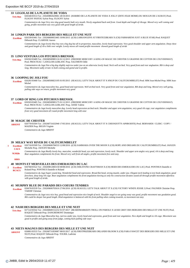## **33 LEGOLAS DE LA PLANETE DE YODA**

026546/03514 Tat : 250269802629061 28/10/2015 (HARIBO DE LA PLANETE DE YODA X JOLLY (DITE JOLIE MOME) DU MOULIN DE L'AURAY) Prod. FLOGNY POITOU Sylvie Prop. FLOGNY Sylvie  **Très Bon**

*Commentaires du Juge:Very nice dog good muzzle buth very mouth. Nicely angulated back and front. Good depth and length of ribcage. Moved very well coming and going, profile movement was very good with good length of stride.*

## **34 LINKIN PARK DES BERGERS DES MILLE ET UNE NUIT**

026339/03461 Tat : 250268600053465 10/06/2015 ((CH) LARKANGEN'S AT FIRSTICEBEARS X (CH) FARMARENS JUST A BLUE STAR) Prod. RAQUET Déborah Prop. CLARISSE Aurore  **Excellent**

Commentaires du Juge:lovely blue boy not a big dog but all in proportion, masculine, lovely head expression. Very good shoulder and upper arm angulation. Deep chest *and good length of rib a little over weight. Lovely moves all round profile movement showed good length of stride*

#### **35 LINO VENTURA LOS PITCHOUS BRENSOL**

026502/03489 Tat : 250268500985116 01/12/2015 (FREDDIE MERCURY A KING-OF-MAGIC DE CHESTER X GRAINNE DE COTTON DE L'OUVERNHAT) Prod. PROUTEAU / LANGLOIS-LEBLANC Prop. SALOMON Odile  **Très Bon**

*Commentaires du Juge:Not a big dog sligthly najrrow under jaw on an otherwise lovely head. Neck well arched. Very good front and rear angluation. Rib is deep and long. Movement sadly erratic in both coming and goind and in profile.*

## **36 LOOPING DU JOLI FOU**

026281/03468 Tat : 250268500823195 01/05/2015 (SEAGULL LET'S TALK ABOUT IT X H'KUP DU CALITCHUMBELET) Prod. HIM Jean-Michel Prop. HIM Jean-Michel  **Excellent**

*Commentaires du Juge:masculine boy, good head and expression. Well arched neck. Very good front and rear angulation. Rib deep and long. Moved very well going, pulling side ways on return, profile movement very good*

## **37 LORD OF RING LOS PITCHOUS BRENSOL**

026503/03485 Tat : 250268500985175 01/12/2015 (FREDDIE MERCURY A KING-OF-MAGIC DE CHESTER X GRAINNE DE COTTON DE L'OUVERNHAT) Prod. PROUTEAU / LANGLOIS-LEBLANC Prop. ASSIE Valérie  **Excellent**

*Commentaires du Juge:lovely masculine dog. Lovely head expression arched neck. Shoulder and upper arm angulation, very good rib cage, rear angulation compliments front very good movement all round profile movement long with ease*

## **38 MAGIC DE CHESTER**

026770/03504 Tat : 250268731632940 17/05/2016 (SEAGULL LET'S TALK ABOUT IT X CHESNZOTT'S APHRODITE) Prod. BERNARDI / CLERC / COPY / MAZIER Prop. BEGIN Virginie **ABSENT**

*Commentaires du Juge:ABSENT*

#### **39 MILKY WAY RIVER DU CALITCHUMBELET**

- 026716/03509 Tat : 250269606784533 12/08/2016 ((CH) SAMMARA OVER THE MOON X (CH) HOPE AND DREAMS DU CALITCHUMBELET) Prod. JAOUEN Michelle Prop. JAOUEN Michelle **1 Excellent CACS**
- *Commentaires du Juge:Really lovely boy, masculne, wonderful head, eye and expression, lovely neck. Shoulder and upper arm angles very good, rib is deep and long. Rear angulation complements his front. Moved very well from all angles, profile movement free and easy.* **M.Mâle**

## **RBIS**

## **40 MONTS ET MERVEILLES DES EMERAUDES DU LAC**

026760/03522 Tat : 250269812083150 08/08/2016 ((CH) SHILSTONE CRAFTSMAN X (CH) HEIDI DES EMERAUDES DU LAC) Prod. PONTHUS Danielle et Roland Prop. PONTHUS Danielle et Roland *<u>Excellent</u>* **RCACS**

*Commentaires du Juge:Super yound dog. Wonderful head and expression. Broad flat head, strong muzzle, under jaw. Elegant neck leading to text book angulation, good forechest, deep long rib cage. Rear angulation compliments his front angulation moving as only his construction dictates sound all through profile movement effortless with good length of stride.*

## **41 MURPHY BLUE DU PARADIS DES COEURS TENDRES**

026676/03539 Tat : 250269606703616 27/06/2016 ((CH) SEAGULL LET'S TALK ABOUT IT X (CH) VICTORY WIND'S JESSIE J) Prod. PAGNIER Christine Prop. TARDIF Christian  **Excellent**

*Commentaires du Juge:very nice boy, good head and expression nice length of neck. Shoulder angul to see going away was good, profile movement was goodation good. Rib could be deeper but good length. Hind angulation is balanced with his front pulling when coming towards, so movement not easy*

## **42 NASH DES BERGERS DES MILLE ET UNE NUIT**

027122/03542 Tat : 250268600152232 01/07/2017 (BEARDMARKED'S TROLL ON PAROLE X LEXIE GREY DES BERGERS DES MILLE ET UNE NUIT) Prod. RAQUET Déborah Prop. DANGREMONT Dominique  **Très Bon**

*Commentaires du Juge:Masculine boy, narrow under jaw, lovely head and expression, good front and rear angulation. Nice depth and length to rib cage. Movement was good in profile and going away from judge, coming back pulling side ways*

## **43 NIETS MAGNUS DES BERGERS DES MILLE ET UNE NUIT**

026881/03533 Tat : 250268731859087 08/03/2017 ((CH) FIRSTPRIZEBEARS ORLANDO BLOOM X (CH) FARA FAWCET DES BERGERS DES MILLE ET UNE NUIT) Prod. RAQUET Déborah Prop. TOURIL Ludivine **ABSENT**

*Commentaires du Juge:ABSENT*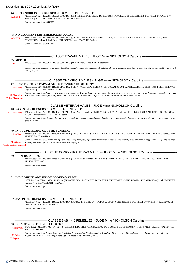## **44 NIETS NOBILIS DES BERGERS DES MILLE ET UNE NUIT**

026883/03526 Tat : 250268731859079 08/03/2017 (FIRSTPRIZEBEARS ORLANDO BLOOM X FARA FAWCET DES BERGERS DES MILLE ET UNE NUIT) Prod. RAQUET Déborah Prop. COLBEAU-COULON Florence *Commentaires du Juge:ABSENT* **ABSENT**

#### **45 NO-COMMENT DES EMERAUDES DU LAC**

026892/03532 Tat : 250269606879887 28/02/2017 ((CH) MOONHILL OVER AND OUT X (CH) FLAGRANT DELICE DES EMERAUDES DU LAC) Prod. PONTHUS Danielle et Roland Prop. HERRGOTT Jacques / PONTHUS Danielle *Commentaires du Juge:ABSENT* **ABSENT**

## CLASSE TRAVAIL MALES - JUGE Mme NICHOLSON Caroline

## **46 MEETIC**

027365/03534 Tat : 276098106243255 06/07/2016 (TI X TI) Prod. ? Prop. FAVRE Stéphanie **1 Bon**

> *Commentaires du Juge:very nice happy dog. Nice head, dark eyes, strong muzzle. Angulation all round good. Movement going away is a littlr cow hocked but movement coming is good;*

## CLASSE CHAMPION MALES - JUGE Mme NICHOLSON Caroline

## **47 GREAT RETURN PAPAGENO TO FRANCE Z DOMU ETNY**

025593/03353 Tat : 985170002289885 01/10/2012 ((CH) VIVALDI DE CHESTER X (CH) DREAM ABOUT DZAMILA Z DOMU ETNY) Prod. BOLTRUKIEWICZ Dagmara Prop. TOSTIVIN René-Jacques **1 Excellent**

*Commentaires du Juge:I can see why thisdog is a champion. Beautiful head and expression, dark eyes. Lovely arch to neck leading to well angulated shoulder and upper arm. Good depth and length of rib, lovely angulation to his rear end all this together showed in his easy long reaching movement.* **M.Champion**

**T. des Champions**

## CLASSE VETERAN MALES - JUGE Mme NICHOLSON Caroline

## **48 FARES DES BERGERS DES MILLE ET UNE NUIT**

024273/03236 Tat : 250268500362132 09/05/2010 (LA-FAJA'S DIAMOND BROWN EXCLUSIVE X BAGDAD DES BERGERS DES MILLE ET UNE NUIT) Prod. RAQUET Déborah Prop. MEULEMAN Patrick **2 Excellent**

> *Commentaires du Juge: 8 years 11 monthsstrongly made boy, lovely head and expression,dark eyes, narrow under jaw, well put together, deep long rib, movement was good all round.*

## **49 IN VOGUE ISLAND GET THE SUNSHINE**

024684/03282 Tat : 250268720055066 14/04/2011 (UBAC DES MONTS DE GATINE X IN VOGUE ISLAND COME TO SEE ME) Prod. CRAIPEAU Vanessa Prop. KERVEILLANT Jean-Pierre **1 Excellent**

*Commentaires du Juge:8 years, beautiful slate dog lovely head, eye, expression, lovely arch to neck leading to well placed shoulder and upper arm. Deep long rib cage, hind angulation compliments front moves very well in profile.* **M.Vétéran**

**T.Old Scottish Bearded**

CLASSE NE CONCOURANT PAS MALES - JUGE Mme NICHOLSON Caroline

#### **50 IDEM DU JOLI FOU**

025444/03398 Tat : 250269802246510 07/02/2013 (OUR OWN SURPRISE LOUIS ARMSTRONG X DONUTS DU JOLI FOU) Prod. HIM Jean-Michel Prop. BRULBAULT Patrick

*Commentaires du Juge:*

## **51 IN VOGUE ISLAND ENJOY LOOKING AT ME**

23682 Tat : 250269700299684 14/06/2009 (IN VOGUE ISLAND COME TO LOOK AT ME X IN VOGUE ISLAND BEWITCHING MADISSON) Prod. CRAIPEAU Vanessa Prop. KERVEILLANT Jean-Pierre

*Commentaires du Juge:*

#### **52 JASON DES BERGERS DES MILLE ET UNE NUIT**

026071/03446 Tat : 250269802308672 18/08/2014 (FARMARENS QING OF SWEDEN X GODIVA DES BERGERS DES MILLE ET UNE NUIT) Prod. RAQUET Déborah Prop. MEULEMAN Patrick

*Commentaires du Juge:*

## CLASSE BABY 4/6 FEMELLES - JUGE Mme NICHOLSON Caroline -

## **53 O HAUTE COUTURE DE CHESTER**

27547 Tat : 250269590027307 17/11/2018 (MILLESIME DE CHESTER X MARILOU DU DOMAINE DE GOTHAM) Prod. BERNARDI / CLERC / MAZIER Prop. PAGNIER Christine **1 Très Prom**

*Commentaires du Juge:Lovely 5 months. Lovely head + expression. Nicely arched neck leading. Very good shoulder and upper arm rib is of good depth length angulated rear-moves very good for a young baby. Needs a little more confidence.* **M Baby**

**T. Espoir**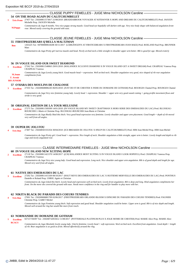## CLASSE PUPPY FEMELLES - JUGE Mme NICHOLSON Caroline

## **54 ON THE ROAD AGAIN DU CALITCHUMBELET**

27457 Tat : 250269811573817 21/08/2018 (BRADDABROOK VOYAGER AT KITESOVER X HOPE AND DREAMS DU CALITCHUMBELET) Prod. JAOUEN **1 Très Prom** Michelle Prop. JAOUEN Michelle

*Commentaires du Juge:8 months. Very nice puppy strong muzzle. Good head eye hopefully will darken with age. Very nice body shape with balanced angulation frontrear. Moved easily covering the ground with ease.* **M.Puppy**

## CLASSE JEUNE FEMELLES - JUGE Mme NICHOLSON Caroline

## **55 FIRSTPRIZEBEARS Q'BELLA MALTZMAN**

1263225 Tat : 947000000618208 30/11/2017 (LÄRKÂNGEN'S AT FIRSTICEBEARS X FIRSTPRIZEBEARS JOAN BAEZ) Prod. ROELAND Paul Prop. BRUNNER Marc  **Bon**

*Commentaires du Juge:Pretty girl narrow muzzle and head. Nicely arched neck a little straight in shoulder upper arm better. Bib is good for age. Moved eraticly*

#### **56 IN VOGUE ISLAND OUR SWEET DIAMOND**

27262 Tat : 250269811548063 29/01/2018 (MALANDEX XCLUSIVE DIAMOND X IN VOGUE ISLAND GET A SWEET DREAM) Prod. CRAIPEAU Vanessa Prop. CRAIPEAU Vanessa **Excellent** 

*Commentaires du Juge:Lovely young bitch. Good muzzle head + expression. Well arched neck. Shoulder angulation very good, nice shaped of rib rear angulation compliments front.* **M.Jeune**

## **BIS JUNIOR T. Avenir**

#### 27355 Tat : 250269608086245 06/05/2018 (JUST DO IT DE CHESTER X INDIE DU DOMAINE DE GOTHAM) Prod. BOURGES Chantal Prop. BOURGES Chantal **57 O'HARA DES MOULINS DE CHALOSSE**

**3 Excellent**

*Commentaires du Juge:Very nice feminine young lady. Lovely head + expression. Shoulder + upper arm very good sound coming + going profile movement flows and stride is very good.*

## **58 ORIGINAL EDITION DE LA TOUR MELUSINE**

27275 Tat : 250269811509399 14/01/2018 (IN VOGUE ISLAND MY SWEET CRAFTSMAN X HORS SERIE DES EMERAUDES DU LAC) Prod. BLUSSEAU-BOURCIER J.-Marie et Christine Prop. BLUSSEAU-BOURCIER Jean-Marie et Christine **2 Excellent**

> *Commentaires du Juge:Really liked this bitch. Very good head expression very feminine. Lovely shoulder and upper arm placement. Good length + depth of rib moved very well from all angles.*

## **59 OUPER DU JOLI FOU**

27407 Tat : 250268501555354 30/04/2018 (ICE BREAKER DU JOLI FOU X H'KUP DU CALITCHUMBELET) Prod. HIM Jean-Michel Prop. HIM Jean-Michel **4 Très Bon**

> *Commentaires du Juge:Pretty girl. Good head + expression. Nice length of neck. Shoulder angulation a little straight, upper arm is better. Lovely length and depth to rib cage and nicely angulated rear.*

## - CLASSE INTERMEDIAIRE FEMELLES - JUGE Mme NICHOLSON Caroline -

## **60 IN VOGUE ISLAND NEW XCITING HOPE**

27118 Tat : 250269811421570 14/08/2017 ((CH) MALANDEX MOST XCITING X IN VOGUE ISLAND I LOOK HOPEFUL) Prod. CRAIPEAU Vanessa Prop. CRAIPEAU Vanessa **2 Excellent**

> *Commentaires du Juge:Very nice young lady. Good head and expression. Long neck. Nice shoulder and upper arm angulation. Rib is of good depth and length for age. Moved very weel from all angles.*

## **61 NATIVE DES EMERAUDES DU LAC**

27202 Tat : 250269811415169 08/10/2017 (HAUT REVE DES EMERAUDES DU LAC X HUITIEME MERVEILLE DES EMERAUDES DU LAC) Prod. PONTHUS Danielle et Roland Prop. UHRIG Agnès et Christian **3 Excellent**

*Commentaires du Juge:Liked this bitch. Lovely head and expression well arched neck. Lovely front angulation. Rib is deep and long. Hind angulation compliments her front. On the move she covered the ground with ease. Needs more confidence in the ring and for handler to play more with her.*

## **62 NIKITA BLACK DU PARADIS DES COEURS TENDRES**

27001 Tat : 250269606881709 02/06/2017 (FIRSTPRIZEBEARS ORLANDO BLOOM X EH'KUME DU PARADIS DES COEURS TENDRES) Prod. PAGNIER Christine Prop. GABET Michel **4 Très Bon**

*Commentaires du Juge:Feminine young bitch. Soft expression and good head. Shoulder angulation could be better. Upper arm is good. Rib is of nice depth and length. Moved well around the ring but would like more front reach.*

## **63 NORMANDIE DU DOMAINE DE GOTHAM**

027217/04397 Tat : 250268732053612 11/08/2017 (POTTERDALE PLATINUM PLUS X JOLIE MOME DE CHESTER) Prod. MARIE Alice Prop. MARIE Alice **1 Excellent RCACS**

*Commentaires du Juge:Absolutly lovely young lady. Utterly feminine. Lovely head + soft expression. Weel arched neck. Excellent front angulation. Good depth + length of rib. Rear angulation is as good as front. Moved effortlessly.around the ring.*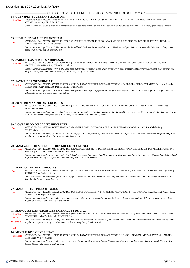## CLASSE OUVERTE FEMELLES - JUGE Mme NICHOLSON Caroline

## **64 GLENSPEY BLUEBERRY BLOSSOM**

30693/2013 Tat : 977200008313755 02/05/2013 (ALISTAIR´S QUAGMIRE X (CH) SHETLANAS FOCUS OF ATTENTION) Prod. STEEN JENSEN Franck / NYDAHL James Prop. BRULBAULT Patrick  **Excellent**

*Commentaires du Juge:Blue bitch. Very nice throughout. Good head expression and eye colour. Very well angulated front and rear. Rib very good. Moved very well.*

## **65 INDIE DU DOMAINE DE GOTHAM**

025672/04241 Tat : 250269606096033 12/10/2013 (GAMEBOY OF MOONLIGHT SONATA X VIRGULE DES BERGERS DES MILLE ET UNE NUIT) Prod. MARIE Alice Prop. BOURGES Chantal  **Bon**

*Commentaires du Juge:Nice bitch. Narrow muzzle. Broad head. Dark eye. Front angulation good. Needs more depth of rib at this age and a little short in length. Not happy when moving but OK when she did.*

## **66 JADORE LOS PITCHOUS BRENSOL**

025756/04234 Tat : 250268500669647 10/01/2014 (OUR OWN SURPRISE LOUIS ARMSTRONG X GRAINNE DE COTTON DE L'OUVERNHAT) Prod. PROUTEAU Marie-Pierre Prop. THOMAS Caroline  **Excellent**

*Commentaires du Juge:What a lovely bitch. Good head expression, eye colour. Good length of neck. Very good shoulder and upper arm angulation. Rear compliments her front. Very good depth of ribs and length. Moved very well from all angles.*

## **67 JAYME DE L'OUVERNHAT**

026099/04265 Tat : 250268500776788 23/09/2014 ((CH) OUR OWN SURPRISE LOUIS ARMSTRONG X EARL GREY DE L'OUVERNHAT) Prod. JAY Daniel / MOREY Marie-Claire Prop. JAY Daniel / MOREY Marie-Claire  **Excellent**

*Commentaires du Juge:Slate tri girl. Lovely head and expression. Dark eye. Very good shoulder upper arm angulation. Good shape and length to rib cage. Level bite. A little erratic coming and going and profile better.*

## **68 JOYE DU MANOIR DES LUCIOLES**

025789/04243 Tat : 250269606135811 25/04/2014 (FLEMING DU MANOIR DES LUCIOLES X FAVORITE DE CHESTER) Prod. BRANCHE Armelle Prop. BRANCHE Armelle  **Bon**

*Commentaires du Juge:Feminine girl. Nice head and expression. Dark eye. Good angulation front and rear. Rib needs to deeper. More weight should add to the picture. Short tail. Movement coming and going good close, but profile shows good length of stride.*

## **69 LOVE ME DO DU CALITCHUMBELET**

026234/04289 Tat : 250269606377322 29/03/2015 (SAMMARA OVER THE MOON X BREAKSEA KIND OF MAGIC) Prod. JAOUEN Michelle Prop. FOLTYNOVA Lucie  **Bon**

*Commentaires du Juge:Pretty girl. Good head expression, eye colour. Angulation of shoulder could be better. Upper arm a little better. Rib cage is deep and long. Hind angulation is better than front. On the move lacks front reach.*

#### **70 MAM'ZELLE DES BERGERS DES MILLE ET UNE NUIT**

026621/04324 Tat : 250268600083761 01/02/2016 (BEARDMARKED'S SIGHT FOR SORE EYES X HEART VIXEN DES BERGERS DES MILLE ET UNE NUIT) Prod. RAQUET Déborah Prop. DEXEMPLE Jean-Pierre  **Excellent**

*Commentaires du Juge:Love this young lady. Lovely head expression. Eye colour. Good length of neck. Very good angulation front and rear. Rib cage is well shaped and long. Movement was effortless from all sides. Not a big girl but all in proportion.*

## **71 MANDOLINE PILLYWIGGINS**

026527/04326 Tat : 250268731569347 26/02/2016 (JUST DO IT DE CHESTER X EVANGELINE PILLYWIGGINS) Prod. SURTOUC Anne-Sophie et Virginie Prop. SURTOUC Anne-Sophie et Virginie  **Bon**

*Commentaires du Juge:Dark slate girl. Good head, eye colour needs to darken. Nice neck. Front angulation could be better. Rib is good. Rear angulation better than front. Would like more reach in front.*

## **72 MARCELLINE PILLYWIGGINS**

026526/04334 Tat : 250268731569628 26/02/2016 (JUST DO IT DE CHESTER X EVANGELINE PILLYWIGGINS) Prod. SURTOUC Anne-Sophie et Virginie Prop. SURTOUC Anne-Sophie et Virginie  **Bon**

*Commentaires du Juge:Nice bitch. Good head and expression. Narrow under jaw and a wry mouth. Good neck and front angulation. Rib cage nedds to deepen. Rear angulation balanced with front one settled moved well.*

## **73 MARQUISE-DES-ANGES DES EMERAUDES DU LAC**

- 026763/04362 Tat : 250269811303338 08/08/2016 (SHILSTONE CRAFTSMAN X HEIDI DES EMERAUDES DU LAC) Prod. PONTHUS Danielle et Roland Prop. PONTHUS Roland et Danielle / VELAY-PEREZ Josie **1 Excellent CACS**
	- *Commentaires du Juge:Very nice young lady. Feminine head and expression. Eye colour is good for coat colour. Front angulation is correct. Rib deep and long. Rear angulation compliments her front. Movement excellent showing lovely length of stride.* **M.Femelle**

## **BIS**

## **74 MINELE DE L'OUVERNHAT**

026813/04354 Tat : 250268501121669 17/07/2016 ((CH) OUR OWN SURPRISE LOUIS ARMSTRONG X DS DE L'OUVERNHAT) Prod. JAY Daniel / MOREY Marie-Claire Prop. JAY Daniel  **Excellent**

*Commentaires du Juge:Nice bitch. Good head expression. Eye colour. Nose pigment fading. Good length of neck. Angulation front and rear are good. Chest needs to deepen. Moved well. Needs to settle at time.*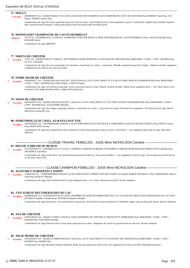## **75 MOLLY**

026908/04376 Tat : 250268731802617 29/11/2016 ((CH) OUR OWN SURPRISE LOUIS ARMSTRONG X JOY DE CHESTER) Prod. ROBERT Claire Prop. JAY Daniel / MOREY Marie-Claire  **Très Bon**

*Commentaires du Juge:Nice bitch, god head expression and eye colour. Good length of neck. Front angulation is good. I would prefer slightly better shoulder layback. Rib is good but nead to deepen. Coming and going erratic but needs profile movement good.*

#### **76 MOONLIGHT CHAMPAGNE DU CALITCHUMBELET**

26719 Tat : 250269606781512 12/08/2016 (SAMMARA OVER THE MOON X HOPE AND DREAMS DU CALITCHUMBELET) Prod. JAOUEN Michelle Prop. RUINART Hervé **ABSENT**

*Commentaires du Juge:ABSENTE*

#### **77 NIKITA DE CHESTER**

27101 Tat : 250268731929719 13/06/2017 (POTTERDALE DARK DIAMOND X FANTASIA DE CHESTER) Prod. BERNARDI / CLERC / COPY / MAZIER Prop. LE GAC Christophe **3 Excellent**

*Commentaires du Juge:Very nice young lady. Very feminine. Good head, eye colour + expression. Shoulder angulation good. Nice length + depth to rib. Rear angulation compliments front. Moved very well at all sides.*

## **78 NOIRE DESIR DE CHESTER**

026939/04377 Tat : 250268731852166 10/02/2017 ((CH) SEAGULL LET'S TALK ABOUT IT X (CH) VICTORY WIND'S GLENMORANGIE) Prod. BERNARDI / CLERC / COPY / MAZIER Prop. PAIN Jérôme / GARCIA Audrey **2 Excellent**

*Commentaires du Juge:Very feminie young lady. Lovely expression and eye colour. Muzzle could be stronger. Really lovely angulation front + rear which shows in her movement. Very happy dog that tends to wiggle when going away.*

## **79 NOON DE CHESTER**

026936/04374 Tat : 250268731852146 10/02/2017 (SEAGULL LET'S TALK ABOUT IT X VICTORY WIND'S GLENMORANGIE) Prod. BERNARDI / CLERC / COPY / MAZIER Prop. ALEXANDRE Maryline **4 Excellent**

*Commentaires du Juge:Very happy young lady, feminine. Good head, eye colour + expression very good. Front and rear angulation. Nice deep long rib cage. Moved effortlessly around the ring.*

## **80 SOMETHING ELSE I WILL ALWAYS LOVE YOU**

025630/04262 Tat : 250269606045994 10/09/2013 ((CH) SOMETHING ELSE TOO MUCH X SOMETHING ELSE ALLURE-DE-CHANEL) Prod. JENNY Josiane Prop. MAILLARD Lorraine  **Excellent**

*Commentaires du Juge:Not a big bitch but all in proportion. Lovely head expression and eye colour. Lovely front + rear angulation deep long rib cage. Movement effortless.*

## CLASSE TRAVAIL FEMELLES - JUGE Mme NICHOLSON Caroline

#### **81 HELFIE A DREAM OF BEAR'D**

025378/04190 Tat : 250269802125155 17/12/2012 (FORBAN A DREAM OF BEAR'D X FENOMEN A DREAM OF BEAR'D) Prod. BIENCOURT Christelle Prop. DEXEMPLE Jean-Pierre **1 Excellent**

*Commentaires du Juge:Lovely bitch, very good head and expression, dark eye. Very good shoulders + rear angulation. Deep rib cage. Tail set good but carried tail up on the move. Move well*

## CLASSE CHAMPION FEMELLES - JUGE Mme NICHOLSON Caroline

## **82 ALISTAIR'S XUBERANTLY HAPPY**

37498/2014 Tat : 752098100659864 02/05/2014 ((CH) LARKANGEN'S AIMING FOR THE STARS X (CH) MALANDEX XPATRIAT ) Prod. ANDERSSON Johan et Nina Prop. RAQUET Déborah **3 Excellent**

*Commentaires du Juge:Utterly feminine bitch. Lovely headexpression + eye colour. Movement excellent. Worthy champion*

## **83 J'EN AI REVE DES EMERAUDES DU LAC**

026088/04292 Tat : 250269810555149 24/11/2014 (H'OMBRE DU SOIR DES EMERAUDES DU LAC X FLAGRANT DÉLICE DES EMERAUDES DU LAC) Prod. PONTHUS Danielle et Roland Prop. PONTHUS Danielle et Roland *<u>Excellent</u>* 

*Commentaires du Juge:So feminine. Very good head eye expression. Well made all round movement as in should be supple long reaching and smooth. Worthy champion*

## **84 JOA DE CHESTER**

025872/04276 Tat : 250268711150655 11/04/2014 ((CH) CHARMING DE CHESTER X CHESNZOTT'S APHRODITE) Prod. BERNARDI / CLERC / COPY / MAZIER Prop. FOUCHER Christelle **4 Excellent**

*Commentaires du Juge:Feminine bitch. Lovely head, expression eye colour. Angulation all round very good moved out with ease. Worthy champion*

## **85 JOLIE MOME DE CHESTER**

025939/04272 Tat : 250268731124086 09/03/2014 (SEAGULL LET'S TALK ABOUT IT X GIVENCHY DE CHESTER) Prod. BERNARDI / CLERC / COPY / MAZIER Prop. MARIE Alice **1 Excellent**

*Commentaires du Juge:Beautiful champion feminine. Head, eye and expression really lovely. Her angulation all round is excellent. Beautiful movement.*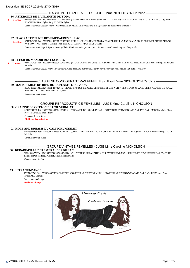## CLASSE VETERAN FEMELLES - JUGE Mme NICHOLSON Caroline

## **86 ASTEROIDE DE LA PLANETE DE YODA**

021445/03653 Tat : 250269800705273 22/02/2005 (DIABOLO OF THE BLUE SUNSHINE X MONA-LISA DE LA FORET DES HAUTS DE GALGALS) Prod. FLOGNY-POITOU Sylvie Prop. FLOGNY Sylvie **2 Excellent**

*Commentaires du Juge:14 years - Wonderful senior citizen. Lovely head and eye expression. Still sound if a little slow*

## **87 FLAGRANT DELICE DES EMERAUDES DU LAC**

024107/04065 Tat : 250269801462378 06/03/2010 ((CH) AU-FIL-DU-TEMPS DES EMERAUDES DU LAC X (CH) A LA FOLIE DES EMERAUDES DU LAC) Prod. PONTHUS Roland et Danielle Prop. HERRGOTT Jacques / PONTHUS Danielle **1 Excellent**

*Commentaires du Juge:9,5 years. Beautiful lady. Head, eye and expression good. Moved out with sound long reaching stride.*

## **88 FLEUR DU MANOIR DES LUCIOLES**

024477/04054 Tat : 250269604266590 29/10/2010 (ATOUT COEUR DE CHESTER X SOMETHING ELSE DEANNA) Prod. BRANCHE Armelle Prop. BRANCHE Armelle **3 Très Bon**

*Commentaires du Juge:9 years. Very feminine. Good head, eye expression. Slightly narrow through body. Moved well but not so happy.*

## CLASSE NE CONCOURANT PAS FEMELLES - JUGE Mme NICHOLSON Caroline -**89 MALICE-MINE-DE-RIEN DE LA PLANETE DE YODA**

26540 Tat : 250269802664181 28/02/2016 (GRAND CRU DES BERGERS DES MILLE ET UNE NUIT X FIRST LADY CHANEL DE LA PLANETE DE YODA) Prod. FLOGNY Sylvie Prop. FLOGNY Sylvie *Commentaires du Juge:*

## ——————————————— GROUPE REPRODUCTRICE FEMELLES - JUGE Mme Caroline NICHOLSON ——————————————— **90 GRAINNE DE COTTON DE L'OUVERNHAT**

024679/04090 Tat : 250269500430374 17/04/2011 (DREAMER DE L'OUVERNHAT X COTTON DE L'OUVERNHAT) Prod. JAY Daniel / MOREY Marie-Claire Prop. PROUTEAU Marie-Pierre

*Commentaires du Juge:* **Meilleure Reproductrice**

## **91 HOPE AND DREAMS DU CALITCHUMBELET**

025085/04138 Tat : 250269604603666 20/03/2011 (CH.POTTERDALE PRODIGY X CH. BREAKSEA KIND OF MAGIC) Prod. JAOUEN Michelle Prop. JAOUEN Michelle

*Commentaires du Juge:*

## GROUPE VINTAGE FEMELLES - JUGE Mme Caroline NICHOLSON -

## **92 BRIN-DE-FILLE DES EMERAUDES DU LAC**

022320/03776 Tat : 250269800908947 03/09/2006 (CH. POTTERDALE AUDITION FOR PATTISHAWL X CH. R'DU TEMPS DE CHESTER) Prod. PONTHUS Roland et Danielle Prop. PONTHUS Roland et Danielle

*Commentaires du Juge:*

## **93 ULTRA TENDANCE**

020970/03569 Tat : 250269800281816 02/12/2003 (SOMETHING ELSE TOO MUCH X SOMETHING ELSE N'BACCARAT) Prod. RAQUET Déborah Prop. MAILLARD Lorraine

*Commentaires du Juge:* **Meilleure Vintage**

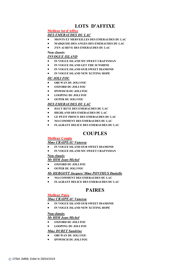# **LOTS D'AFFIXE**

# **Meilleur lot d'Affixe**

## *DES EMERAUDES DU LAC*

- **MONTS ET MERVEILLES DES EMERAUDES DU LAC**
- **MARQUISE-DES-ANGES DES EMERAUDES DU LAC**
- **J'EN AI REVE DES EMERAUDES DU LAC**

## **Non classés**

## *INVOGUE ISLAND*

- **IN VOGUE ISLAND MY SWEET CRAFTSMAN**
- **IN VOGUE ISLAND GET THE SUNSHINE**
- **IN VOGUE ISLAND OUR SWEET DIAMOND**
- **IN VOGUE ISLAND NEW XCITING HOPE**

## *DU JOLI FOU*

- **OBI WAN DU JOLI FOU**
- **OXFORD DU JOLI FOU**
- **IPSWISCH DU JOLI FOU**
- **LOOPING DU JOLI FOU**
- **OUPER DU JOLI FOU**

## *DES EMERAUDES DU LAC*

- **HAUT REVE DES EMERAUDES DU LAC**
- **HIGHLAND DES EMERAUDES DU LAC**
- **LE PETIT PRINCE DES EMERAUDES DU LAC**
- **NO-COMMENT DES EMERAUDES DU LAC**
- **FLAGRANT DELICE DES EMERAUDES DU LAC**

## **COUPLES**

## **Meilleur Couple**

## *Mme CRAIPEAU Vanessa*

- **IN VOGUE ISLAND OUR SWEET DIAMOND**
- **IN VOGUE ISLAND MY SWEET CRAFTSMAN**

## **Non classés**

## *Mr HIM Jean-Michel*

- **OXFORD DU JOLI FOU**
- **OUPER DU JOLI FOU**

## *Mr HERGOTT Jacques/ Mme PONTHUS Danielle*

- **NO-COMMENT DES EMERAUDES DU LAC**
- **FLAGRANT DELICE DES EMERAUDES DU LAC**

# **PAIRES**

## **Meilleur Paire**

## *Mme CRAIPEAU Vanessa*

- **IN VOGUE ISLAND OUR SWEET DIAMOND**
- **IN VOGUE ISLAND NEW XCITING HOPE**

## **Non classés**

*Mr HIM Jean-Michel*

- **OXFORD DU JOLI FOU**
- **LOOPING DU JOLI FOU**

## *Mme DURET Sandrine*

- **OBI WAN DU JOLI FOU**
- **IPSWISCH DU JOLI FOU**